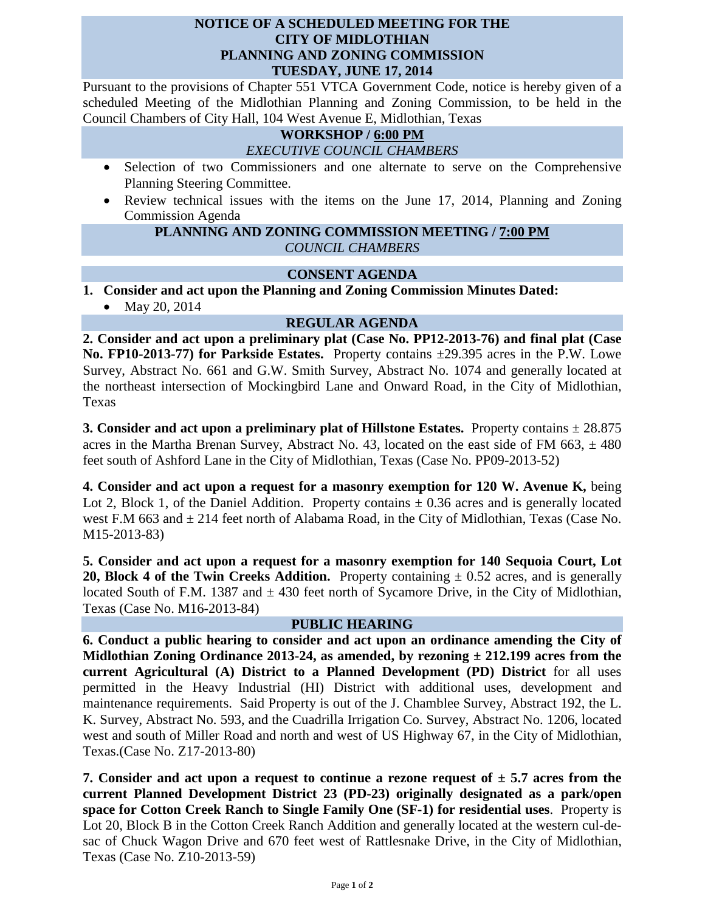#### **NOTICE OF A SCHEDULED MEETING FOR THE CITY OF MIDLOTHIAN PLANNING AND ZONING COMMISSION TUESDAY, JUNE 17, 2014**

Pursuant to the provisions of Chapter 551 VTCA Government Code, notice is hereby given of a scheduled Meeting of the Midlothian Planning and Zoning Commission, to be held in the Council Chambers of City Hall, 104 West Avenue E, Midlothian, Texas

## **WORKSHOP / 6:00 PM**

#### *EXECUTIVE COUNCIL CHAMBERS*

- Selection of two Commissioners and one alternate to serve on the Comprehensive Planning Steering Committee.
- Review technical issues with the items on the June 17, 2014, Planning and Zoning Commission Agenda

### **PLANNING AND ZONING COMMISSION MEETING / 7:00 PM** *COUNCIL CHAMBERS*

### **CONSENT AGENDA**

**1. Consider and act upon the Planning and Zoning Commission Minutes Dated:** 

• May 20, 2014

# **REGULAR AGENDA**

**2. Consider and act upon a preliminary plat (Case No. PP12-2013-76) and final plat (Case No. FP10-2013-77) for Parkside Estates.** Property contains ±29.395 acres in the P.W. Lowe Survey, Abstract No. 661 and G.W. Smith Survey, Abstract No. 1074 and generally located at the northeast intersection of Mockingbird Lane and Onward Road, in the City of Midlothian, Texas

**3. Consider and act upon a preliminary plat of Hillstone Estates.** Property contains ± 28.875 acres in the Martha Brenan Survey, Abstract No. 43, located on the east side of FM 663,  $\pm$  480 feet south of Ashford Lane in the City of Midlothian, Texas (Case No. PP09-2013-52)

**4. Consider and act upon a request for a masonry exemption for 120 W. Avenue K,** being Lot 2, Block 1, of the Daniel Addition. Property contains  $\pm$  0.36 acres and is generally located west F.M 663 and  $\pm$  214 feet north of Alabama Road, in the City of Midlothian, Texas (Case No. M15-2013-83)

**5. Consider and act upon a request for a masonry exemption for 140 Sequoia Court, Lot 20, Block 4 of the Twin Creeks Addition.** Property containing  $\pm$  0.52 acres, and is generally located South of F.M. 1387 and  $\pm$  430 feet north of Sycamore Drive, in the City of Midlothian, Texas (Case No. M16-2013-84)

### **PUBLIC HEARING**

**6. Conduct a public hearing to consider and act upon an ordinance amending the City of Midlothian Zoning Ordinance 2013-24, as amended, by rezoning ± 212.199 acres from the current Agricultural (A) District to a Planned Development (PD) District** for all uses permitted in the Heavy Industrial (HI) District with additional uses, development and maintenance requirements. Said Property is out of the J. Chamblee Survey, Abstract 192, the L. K. Survey, Abstract No. 593, and the Cuadrilla Irrigation Co. Survey, Abstract No. 1206, located west and south of Miller Road and north and west of US Highway 67, in the City of Midlothian, Texas.(Case No. Z17-2013-80)

**7.** Consider and act upon a request to continue a rezone request of  $\pm$  5.7 acres from the **current Planned Development District 23 (PD-23) originally designated as a park/open space for Cotton Creek Ranch to Single Family One (SF-1) for residential uses**. Property is Lot 20, Block B in the Cotton Creek Ranch Addition and generally located at the western cul-desac of Chuck Wagon Drive and 670 feet west of Rattlesnake Drive, in the City of Midlothian, Texas (Case No. Z10-2013-59)